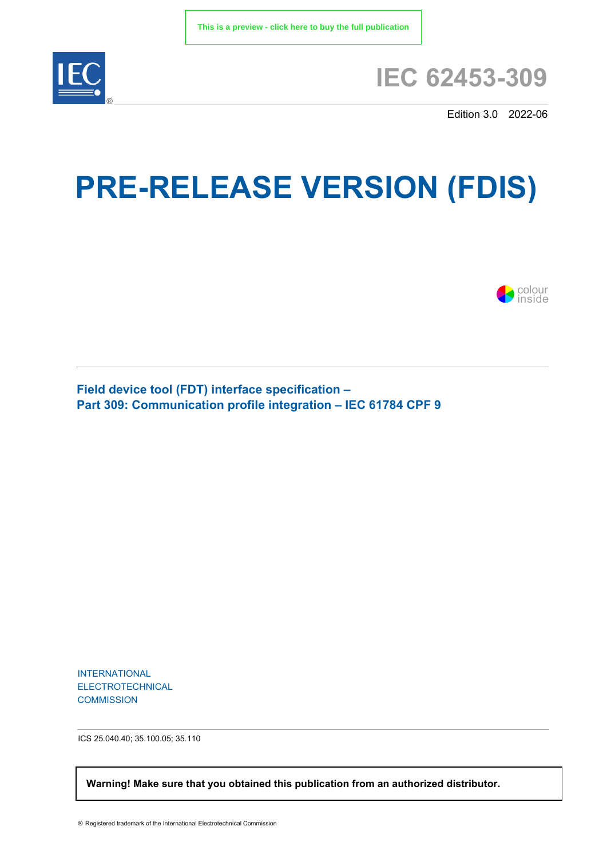

## **IEC 62453-309**

Edition 3.0 2022-06

# **PRE-RELEASE VERSION (FDIS)**



**Field device tool (FDT) interface specification – Part 309: Communication profile integration – IEC 61784 CPF 9**

INTERNATIONAL ELECTROTECHNICAL **COMMISSION** 

ICS 25.040.40; 35.100.05; 35.110

 **Warning! Make sure that you obtained this publication from an authorized distributor.**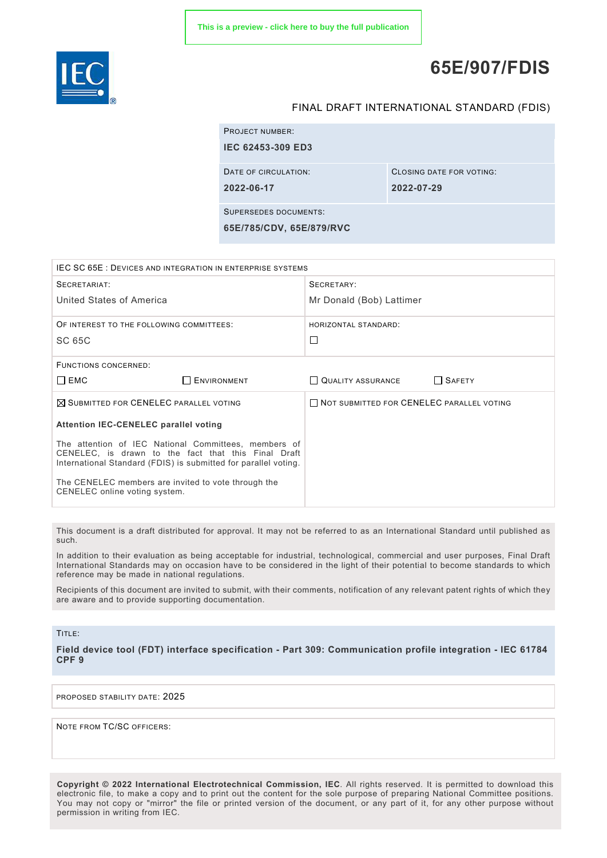

### **65E/907/FDIS**

#### FINAL DRAFT INTERNATIONAL STANDARD (FDIS)

| <b>PROJECT NUMBER:</b>       |                          |
|------------------------------|--------------------------|
| <b>IEC 62453-309 ED3</b>     |                          |
| DATE OF CIRCULATION:         | CLOSING DATE FOR VOTING: |
| 2022-06-17                   | 2022-07-29               |
| <b>SUPERSEDES DOCUMENTS:</b> |                          |
| 65E/785/CDV, 65E/879/RVC     |                          |

| IEC SC 65E : DEVICES AND INTEGRATION IN ENTERPRISE SYSTEMS                                                                                                                     |                    |                                                  |               |
|--------------------------------------------------------------------------------------------------------------------------------------------------------------------------------|--------------------|--------------------------------------------------|---------------|
| SECRETARIAT:                                                                                                                                                                   |                    | SECRETARY:                                       |               |
| United States of America                                                                                                                                                       |                    | Mr Donald (Bob) Lattimer                         |               |
| OF INTEREST TO THE FOLLOWING COMMITTEES:                                                                                                                                       |                    | HORIZONTAL STANDARD:                             |               |
| SC 65C                                                                                                                                                                         |                    | □                                                |               |
| <b>FUNCTIONS CONCERNED:</b>                                                                                                                                                    |                    |                                                  |               |
| $\Box$ EMC                                                                                                                                                                     | <b>ENVIRONMENT</b> | QUALITY ASSURANCE                                | $\Box$ SAFETY |
| $\boxtimes$ SUBMITTED FOR CENELEC PARALLEL VOTING                                                                                                                              |                    | <b>NOT SUBMITTED FOR CENELEC PARALLEL VOTING</b> |               |
| <b>Attention IEC-CENELEC parallel voting</b>                                                                                                                                   |                    |                                                  |               |
| The attention of IEC National Committees, members of<br>CENELEC, is drawn to the fact that this Final Draft<br>International Standard (FDIS) is submitted for parallel voting. |                    |                                                  |               |
| The CENELEC members are invited to vote through the<br>CENELEC online voting system.                                                                                           |                    |                                                  |               |

This document is a draft distributed for approval. It may not be referred to as an International Standard until published as such.

In addition to their evaluation as being acceptable for industrial, technological, commercial and user purposes, Final Draft International Standards may on occasion have to be considered in the light of their potential to become standards to which reference may be made in national regulations.

Recipients of this document are invited to submit, with their comments, notification of any relevant patent rights of which they are aware and to provide supporting documentation.

#### TITLE:

**Field device tool (FDT) interface specification - Part 309: Communication profile integration - IEC 61784 CPF 9**

PROPOSED STABILITY DATE: 2025

NOTE FROM TC/SC OFFICERS:

**Copyright © 2022 International Electrotechnical Commission, IEC**. All rights reserved. It is permitted to download this electronic file, to make a copy and to print out the content for the sole purpose of preparing National Committee positions. You may not copy or "mirror" the file or printed version of the document, or any part of it, for any other purpose without permission in writing from IEC.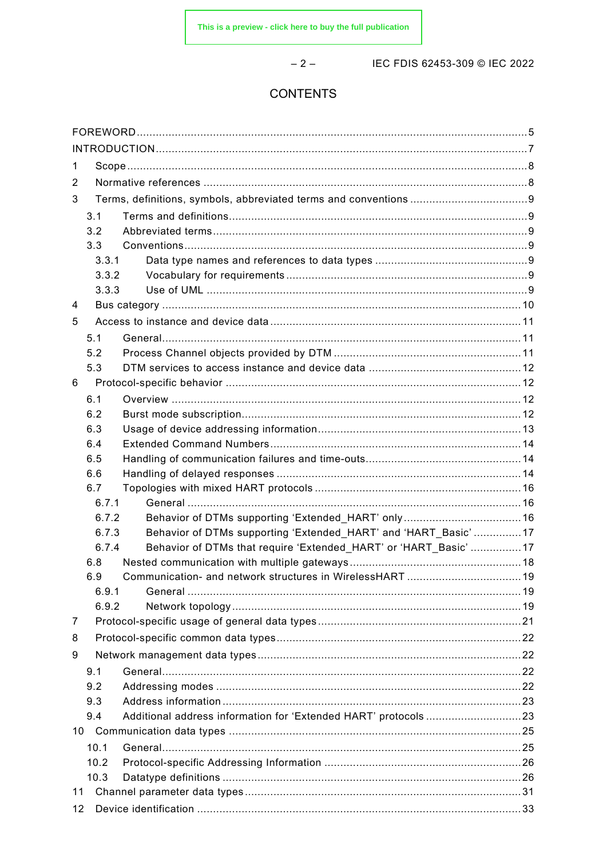$-2-$ 

IEC FDIS 62453-309 © IEC 2022

#### **CONTENTS**

| 1  |              |                                                                  |  |  |
|----|--------------|------------------------------------------------------------------|--|--|
| 2  |              |                                                                  |  |  |
| 3  |              |                                                                  |  |  |
|    | 3.1          |                                                                  |  |  |
|    | 3.2          |                                                                  |  |  |
|    | 3.3          |                                                                  |  |  |
|    | 3.3.1        |                                                                  |  |  |
|    | 3.3.2        |                                                                  |  |  |
|    | 3.3.3        |                                                                  |  |  |
| 4  |              |                                                                  |  |  |
| 5  |              |                                                                  |  |  |
|    | 5.1          |                                                                  |  |  |
|    | 5.2          |                                                                  |  |  |
|    | 5.3          |                                                                  |  |  |
| 6  |              |                                                                  |  |  |
|    | 6.1          |                                                                  |  |  |
|    | 6.2          |                                                                  |  |  |
|    | 6.3          |                                                                  |  |  |
|    | 6.4          |                                                                  |  |  |
|    | 6.5          |                                                                  |  |  |
|    | 6.6          |                                                                  |  |  |
|    | 6.7<br>6.7.1 |                                                                  |  |  |
|    | 6.7.2        |                                                                  |  |  |
|    | 6.7.3        | Behavior of DTMs supporting 'Extended HART' and 'HART Basic' 17  |  |  |
|    | 6.7.4        | Behavior of DTMs that require 'Extended HART' or 'HART Basic' 17 |  |  |
|    | 6.8          |                                                                  |  |  |
|    | 6.9          |                                                                  |  |  |
|    | 6.9.1        |                                                                  |  |  |
|    | 6.9.2        |                                                                  |  |  |
| 7  |              |                                                                  |  |  |
| 8  |              |                                                                  |  |  |
| 9  |              |                                                                  |  |  |
|    | 9.1          |                                                                  |  |  |
|    | 9.2          |                                                                  |  |  |
|    | 9.3          |                                                                  |  |  |
|    | 9.4          | Additional address information for 'Extended HART' protocols23   |  |  |
|    |              |                                                                  |  |  |
|    | 10.1         |                                                                  |  |  |
|    | 10.2         |                                                                  |  |  |
|    | 10.3         |                                                                  |  |  |
| 11 |              |                                                                  |  |  |
| 12 |              |                                                                  |  |  |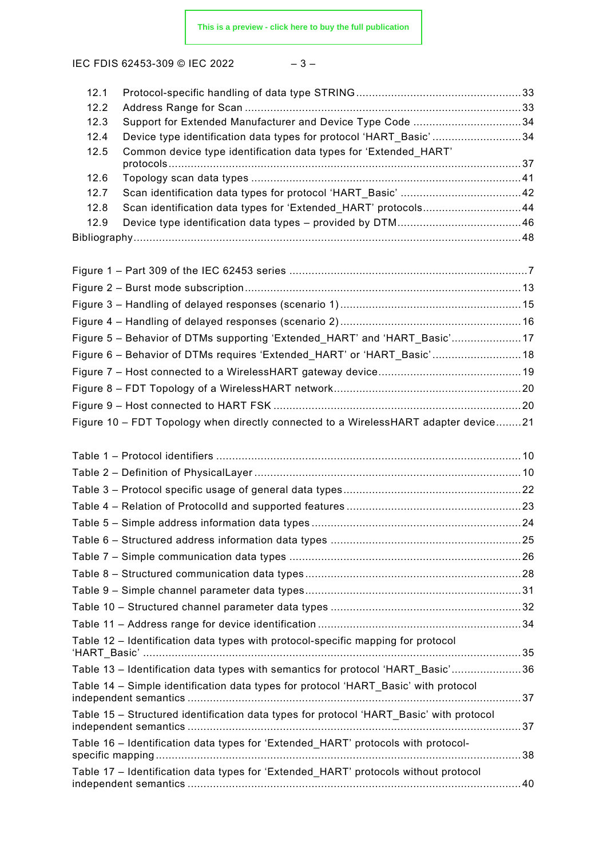IEC FDIS 62453-309 © IEC 2022 - 3-

| 12.1         |                                                                                         |  |
|--------------|-----------------------------------------------------------------------------------------|--|
| 12.2<br>12.3 | Support for Extended Manufacturer and Device Type Code 34                               |  |
| 12.4         | Device type identification data types for protocol 'HART_Basic' 34                      |  |
| 12.5         | Common device type identification data types for 'Extended HART'                        |  |
|              |                                                                                         |  |
| 12.6         |                                                                                         |  |
| 12.7         |                                                                                         |  |
| 12.8         | Scan identification data types for 'Extended_HART' protocols44                          |  |
| 12.9         |                                                                                         |  |
|              |                                                                                         |  |
|              |                                                                                         |  |
|              |                                                                                         |  |
|              |                                                                                         |  |
|              |                                                                                         |  |
|              | Figure 5 - Behavior of DTMs supporting 'Extended_HART' and 'HART_Basic'17               |  |
|              | Figure 6 - Behavior of DTMs requires 'Extended_HART' or 'HART_Basic' 18                 |  |
|              |                                                                                         |  |
|              |                                                                                         |  |
|              |                                                                                         |  |
|              |                                                                                         |  |
|              | Figure 10 - FDT Topology when directly connected to a WirelessHART adapter device21     |  |
|              |                                                                                         |  |
|              |                                                                                         |  |
|              |                                                                                         |  |
|              |                                                                                         |  |
|              |                                                                                         |  |
|              |                                                                                         |  |
|              |                                                                                         |  |
|              |                                                                                         |  |
|              |                                                                                         |  |
|              |                                                                                         |  |
|              |                                                                                         |  |
|              | Table 12 - Identification data types with protocol-specific mapping for protocol        |  |
|              |                                                                                         |  |
|              | Table 13 - Identification data types with semantics for protocol 'HART_Basic'36         |  |
|              | Table 14 – Simple identification data types for protocol 'HART_Basic' with protocol     |  |
|              | Table 15 - Structured identification data types for protocol 'HART_Basic' with protocol |  |
|              | Table 16 - Identification data types for 'Extended_HART' protocols with protocol-       |  |
|              |                                                                                         |  |
|              | Table 17 - Identification data types for 'Extended_HART' protocols without protocol     |  |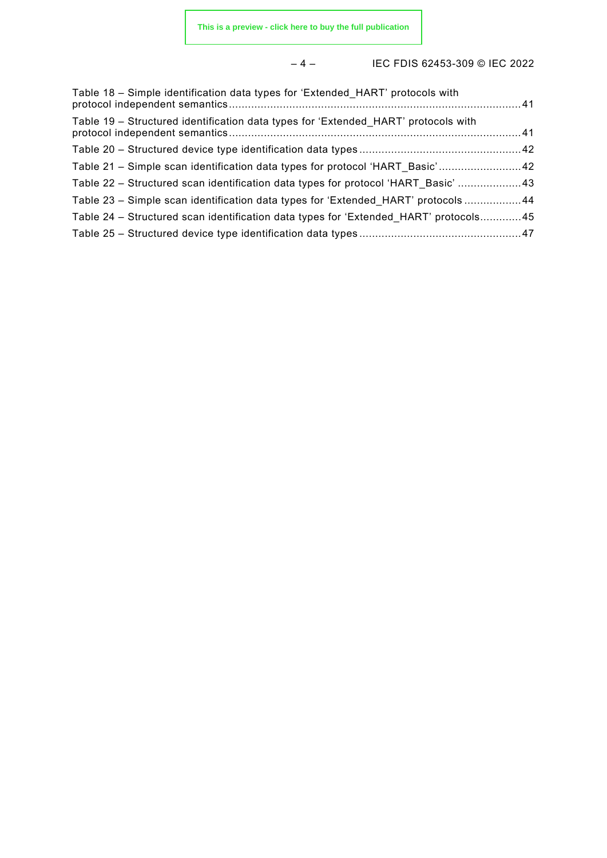#### – 4 – IEC FDIS 62453-309 © IEC 2022

| Table 18 – Simple identification data types for 'Extended HART' protocols with       |  |
|--------------------------------------------------------------------------------------|--|
| Table 19 – Structured identification data types for 'Extended HART' protocols with   |  |
|                                                                                      |  |
| Table 21 - Simple scan identification data types for protocol 'HART_Basic'42         |  |
| Table 22 – Structured scan identification data types for protocol 'HART Basic' 43    |  |
| Table 23 - Simple scan identification data types for 'Extended_HART' protocols 44    |  |
| Table 24 – Structured scan identification data types for 'Extended HART' protocols45 |  |
|                                                                                      |  |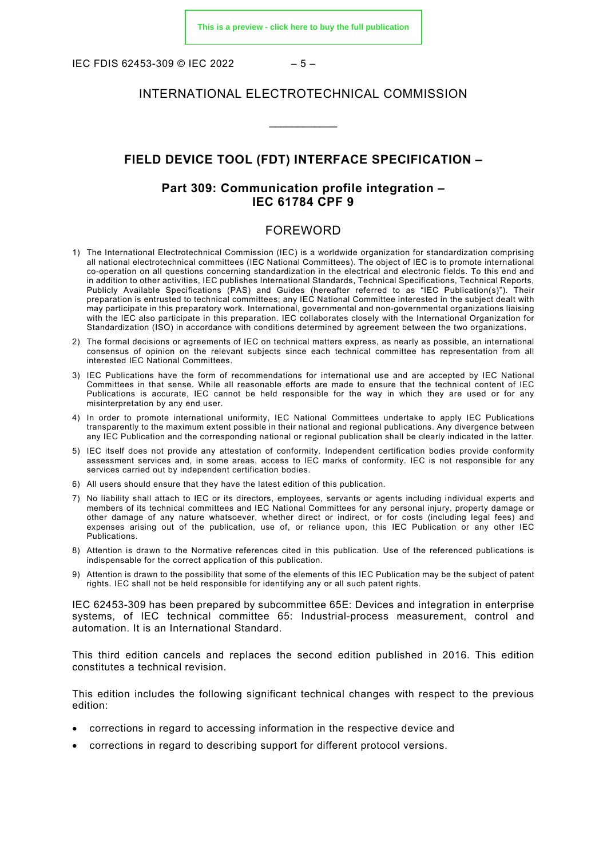IEC FDIS 62453-309 © IEC 2022  $-5-$ 

#### INTERNATIONAL ELECTROTECHNICAL COMMISSION

\_\_\_\_\_\_\_\_\_\_\_\_

#### **FIELD DEVICE TOOL (FDT) INTERFACE SPECIFICATION –**

#### **Part 309: Communication profile integration – IEC 61784 CPF 9**

#### FOREWORD

- <span id="page-5-0"></span>1) The International Electrotechnical Commission (IEC) is a worldwide organization for standardization comprising all national electrotechnical committees (IEC National Committees). The object of IEC is to promote international co-operation on all questions concerning standardization in the electrical and electronic fields. To this end and in addition to other activities, IEC publishes International Standards, Technical Specifications, Technical Reports, Publicly Available Specifications (PAS) and Guides (hereafter referred to as "IEC Publication(s)"). Their preparation is entrusted to technical committees; any IEC National Committee interested in the subject dealt with may participate in this preparatory work. International, governmental and non-governmental organizations liaising with the IEC also participate in this preparation. IEC collaborates closely with the International Organization for Standardization (ISO) in accordance with conditions determined by agreement between the two organizations.
- 2) The formal decisions or agreements of IEC on technical matters express, as nearly as possible, an international consensus of opinion on the relevant subjects since each technical committee has representation from all interested IEC National Committees.
- 3) IEC Publications have the form of recommendations for international use and are accepted by IEC National Committees in that sense. While all reasonable efforts are made to ensure that the technical content of IEC Publications is accurate, IEC cannot be held responsible for the way in which they are used or for any misinterpretation by any end user.
- 4) In order to promote international uniformity, IEC National Committees undertake to apply IEC Publications transparently to the maximum extent possible in their national and regional publications. Any divergence between any IEC Publication and the corresponding national or regional publication shall be clearly indicated in the latter.
- 5) IEC itself does not provide any attestation of conformity. Independent certification bodies provide conformity assessment services and, in some areas, access to IEC marks of conformity. IEC is not responsible for any services carried out by independent certification bodies.
- 6) All users should ensure that they have the latest edition of this publication.
- 7) No liability shall attach to IEC or its directors, employees, servants or agents including individual experts and members of its technical committees and IEC National Committees for any personal injury, property damage or other damage of any nature whatsoever, whether direct or indirect, or for costs (including legal fees) and expenses arising out of the publication, use of, or reliance upon, this IEC Publication or any other IEC Publications.
- 8) Attention is drawn to the Normative references cited in this publication. Use of the referenced publications is indispensable for the correct application of this publication.
- 9) Attention is drawn to the possibility that some of the elements of this IEC Publication may be the subject of patent rights. IEC shall not be held responsible for identifying any or all such patent rights.

IEC 62453-309 has been prepared by subcommittee 65E: Devices and integration in enterprise systems, of IEC technical committee 65: Industrial-process measurement, control and automation. It is an International Standard.

This third edition cancels and replaces the second edition published in 2016. This edition constitutes a technical revision.

This edition includes the following significant technical changes with respect to the previous edition:

- corrections in regard to accessing information in the respective device and
- corrections in regard to describing support for different protocol versions.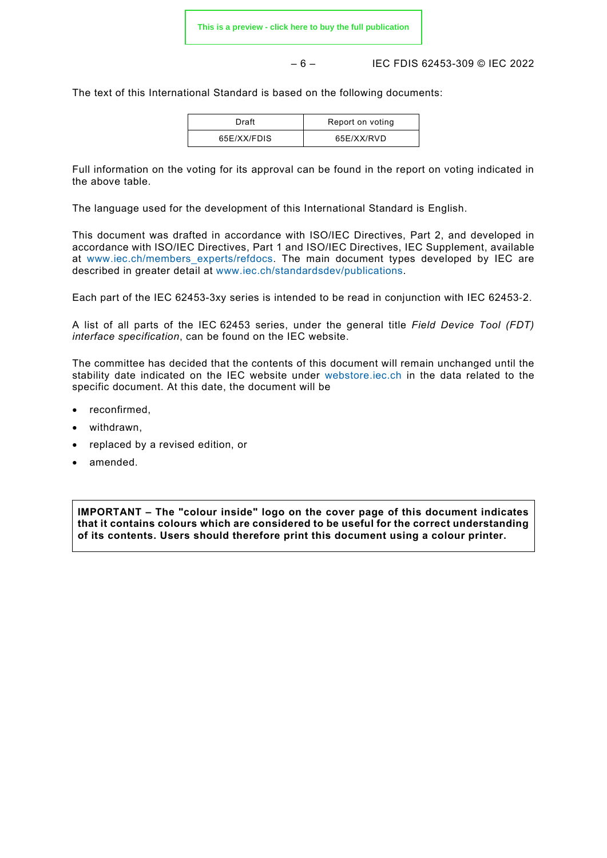– 6 – IEC FDIS 62453-309 © IEC 2022

The text of this International Standard is based on the following documents:

| Draft       | Report on voting |
|-------------|------------------|
| 65E/XX/FDIS | 65E/XX/RVD       |

Full information on the voting for its approval can be found in the report on voting indicated in the above table.

The language used for the development of this International Standard is English.

This document was drafted in accordance with ISO/IEC Directives, Part 2, and developed in accordance with ISO/IEC Directives, Part 1 and ISO/IEC Directives, IEC Supplement, available at [www.iec.ch/members\\_experts/refdocs.](https://www.iec.ch/members_experts/refdocs) The main document types developed by IEC are described in greater detail at [www.iec.ch/standardsdev/publications.](https://www.iec.ch/standardsdev/publications)

Each part of the IEC 62453-3xy series is intended to be read in conjunction with IEC 62453‑2.

A list of all parts of the IEC 62453 series, under the general title *Field Device Tool (FDT) interface specification*, can be found on the IEC website.

The committee has decided that the contents of this document will remain unchanged until the stability date indicated on the IEC website under [webstore.iec.ch](https://webstore.iec.ch/?ref=menu) in the data related to the specific document. At this date, the document will be

- reconfirmed.
- withdrawn,
- replaced by a revised edition, or
- amended.

**IMPORTANT – The "colour inside" logo on the cover page of this document indicates that it contains colours which are considered to be useful for the correct understanding of its contents. Users should therefore print this document using a colour printer.**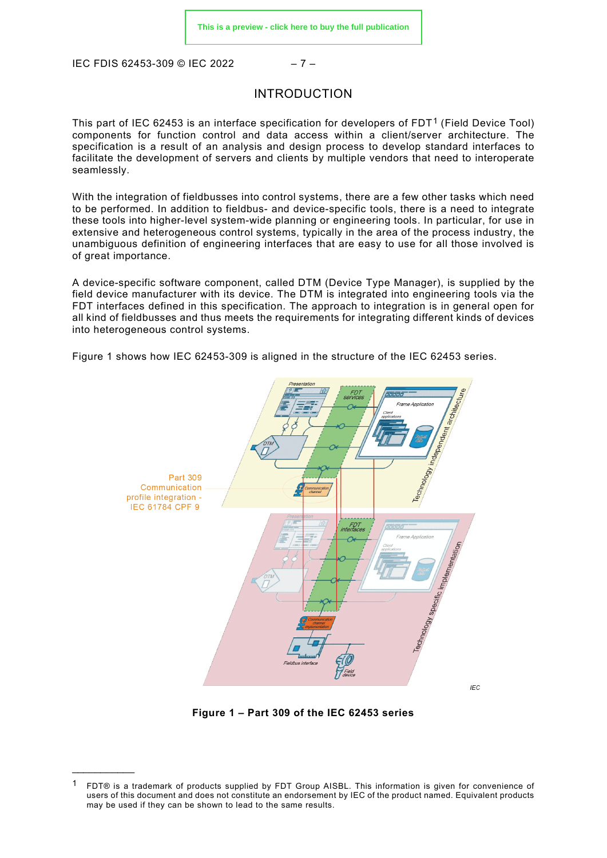<span id="page-7-0"></span>IEC FDIS 62453-309 © IEC 2022 – 7 –

<span id="page-7-1"></span> $\mathcal{L}$  and  $\mathcal{L}$  and  $\mathcal{L}$ 

#### INTRODUCTION

This part of IEC 62453 is an interface specification for developers of FDT<sup>[1](#page-7-2)</sup> (Field Device Tool) components for function control and data access within a client/server architecture. The specification is a result of an analysis and design process to develop standard interfaces to facilitate the development of servers and clients by multiple vendors that need to interoperate seamlessly.

With the integration of fieldbusses into control systems, there are a few other tasks which need to be performed. In addition to fieldbus- and device-specific tools, there is a need to integrate these tools into higher-level system-wide planning or engineering tools. In particular, for use in extensive and heterogeneous control systems, typically in the area of the process industry, the unambiguous definition of engineering interfaces that are easy to use for all those involved is of great importance.

A device-specific software component, called DTM (Device Type Manager), is supplied by the field device manufacturer with its device. The DTM is integrated into engineering tools via the FDT interfaces defined in this specification. The approach to integration is in general open for all kind of fieldbusses and thus meets the requirements for integrating different kinds of devices into heterogeneous control systems.

[Figure 1](#page-7-1) shows how IEC 62453-309 is aligned in the structure of the IEC 62453 series.



**Figure 1 – Part 309 of the IEC 62453 series**

<span id="page-7-2"></span>FDT® is a trademark of products supplied by FDT Group AISBL. This information is given for convenience of users of this document and does not constitute an endorsement by IEC of the product named. Equivalent products may be used if they can be shown to lead to the same results.